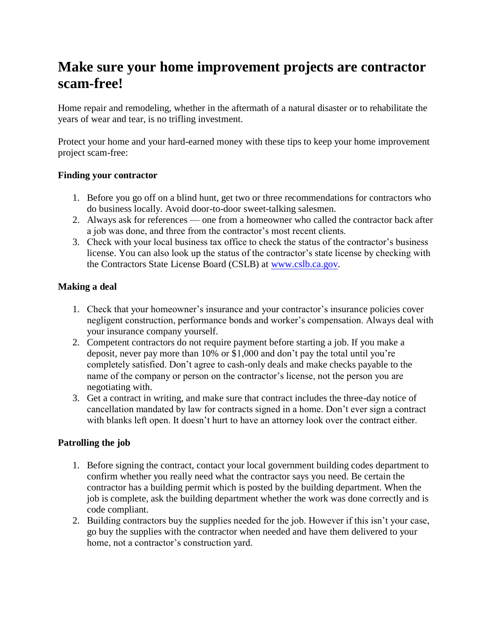## **Make sure your home improvement projects are contractor scam-free!**

Home repair and remodeling, whether in the aftermath of a natural disaster or to rehabilitate the years of wear and tear, is no trifling investment.

Protect your home and your hard-earned money with these tips to keep your home improvement project scam-free:

## **Finding your contractor**

- 1. Before you go off on a blind hunt, get two or three recommendations for contractors who do business locally. Avoid door-to-door sweet-talking salesmen.
- 2. Always ask for references one from a homeowner who called the contractor back after a job was done, and three from the contractor's most recent clients.
- 3. Check with your local business tax office to check the status of the contractor's business license. You can also look up the status of the contractor's state license by checking with the Contractors State License Board (CSLB) at [www.cslb.ca.gov.](http://www.cslb.ca.gov/)

## **Making a deal**

- 1. Check that your homeowner's insurance and your contractor's insurance policies cover negligent construction, performance bonds and worker's compensation. Always deal with your insurance company yourself.
- 2. Competent contractors do not require payment before starting a job. If you make a deposit, never pay more than 10% or \$1,000 and don't pay the total until you're completely satisfied. Don't agree to cash-only deals and make checks payable to the name of the company or person on the contractor's license, not the person you are negotiating with.
- 3. Get a contract in writing, and make sure that contract includes the three-day notice of cancellation mandated by law for contracts signed in a home. Don't ever sign a contract with blanks left open. It doesn't hurt to have an attorney look over the contract either.

## **Patrolling the job**

- 1. Before signing the contract, contact your local government building codes department to confirm whether you really need what the contractor says you need. Be certain the contractor has a building permit which is posted by the building department. When the job is complete, ask the building department whether the work was done correctly and is code compliant.
- 2. Building contractors buy the supplies needed for the job. However if this isn't your case, go buy the supplies with the contractor when needed and have them delivered to your home, not a contractor's construction yard.